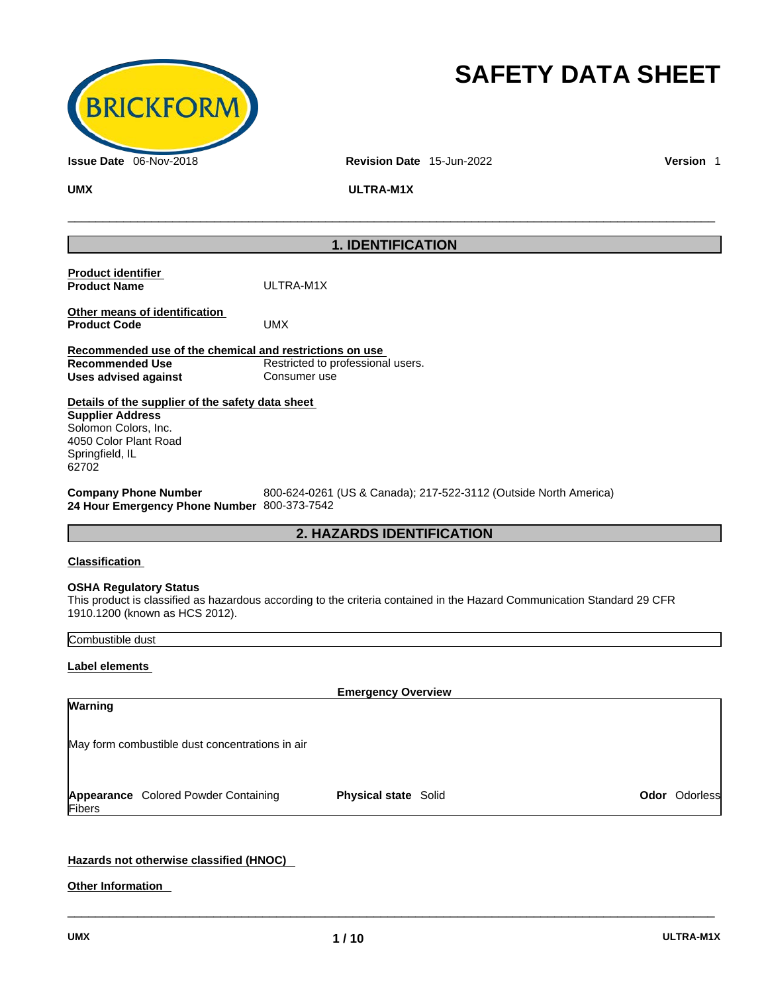

# **SAFETY DATA SHEET**

**UMX ULTRA-M1X** 

## **1. IDENTIFICATION**

\_\_\_\_\_\_\_\_\_\_\_\_\_\_\_\_\_\_\_\_\_\_\_\_\_\_\_\_\_\_\_\_\_\_\_\_\_\_\_\_\_\_\_\_\_\_\_\_\_\_\_\_\_\_\_\_\_\_\_\_\_\_\_\_\_\_\_\_\_\_\_\_\_\_\_\_\_\_\_\_\_\_\_\_\_\_\_\_\_\_\_\_\_

|                                                                                                                                                          | <b>2. HAZARDS IDENTIFICATION</b>                                 |
|----------------------------------------------------------------------------------------------------------------------------------------------------------|------------------------------------------------------------------|
| <b>Company Phone Number</b><br>24 Hour Emergency Phone Number 800-373-7542                                                                               | 800-624-0261 (US & Canada); 217-522-3112 (Outside North America) |
| Details of the supplier of the safety data sheet<br><b>Supplier Address</b><br>Solomon Colors, Inc.<br>4050 Color Plant Road<br>Springfield, IL<br>62702 |                                                                  |
| Recommended use of the chemical and restrictions on use<br><b>Recommended Use</b><br>Uses advised against                                                | Restricted to professional users.<br>Consumer use                |
| Other means of identification<br><b>Product Code</b>                                                                                                     | UMX                                                              |
| <b>Product identifier</b><br><b>Product Name</b>                                                                                                         | ULTRA-M1X                                                        |

## **Classification**

## **OSHA Regulatory Status**

This product is classified as hazardous according to the criteria contained in the Hazard Communication Standard 29 CFR 1910.1200 (known as HCS 2012).

## Combustible dust

## **Label elements**

|         |                                                 | <b>Emergency Overview</b>   |  |                      |
|---------|-------------------------------------------------|-----------------------------|--|----------------------|
| Warning |                                                 |                             |  |                      |
|         |                                                 |                             |  |                      |
|         | May form combustible dust concentrations in air |                             |  |                      |
|         |                                                 |                             |  |                      |
|         |                                                 |                             |  |                      |
|         |                                                 | <b>Physical state Solid</b> |  | <b>Odor</b> Odorless |
| Fibers  | Appearance Colored Powder Containing            |                             |  |                      |
|         |                                                 |                             |  |                      |

 $\_$  ,  $\_$  ,  $\_$  ,  $\_$  ,  $\_$  ,  $\_$  ,  $\_$  ,  $\_$  ,  $\_$  ,  $\_$  ,  $\_$  ,  $\_$  ,  $\_$  ,  $\_$  ,  $\_$  ,  $\_$  ,  $\_$  ,  $\_$  ,  $\_$  ,  $\_$  ,  $\_$  ,  $\_$  ,  $\_$  ,  $\_$  ,  $\_$  ,  $\_$  ,  $\_$  ,  $\_$  ,  $\_$  ,  $\_$  ,  $\_$  ,  $\_$  ,  $\_$  ,  $\_$  ,  $\_$  ,  $\_$  ,  $\_$  ,

## **Hazards not otherwise classified (HNOC)**

**Other Information**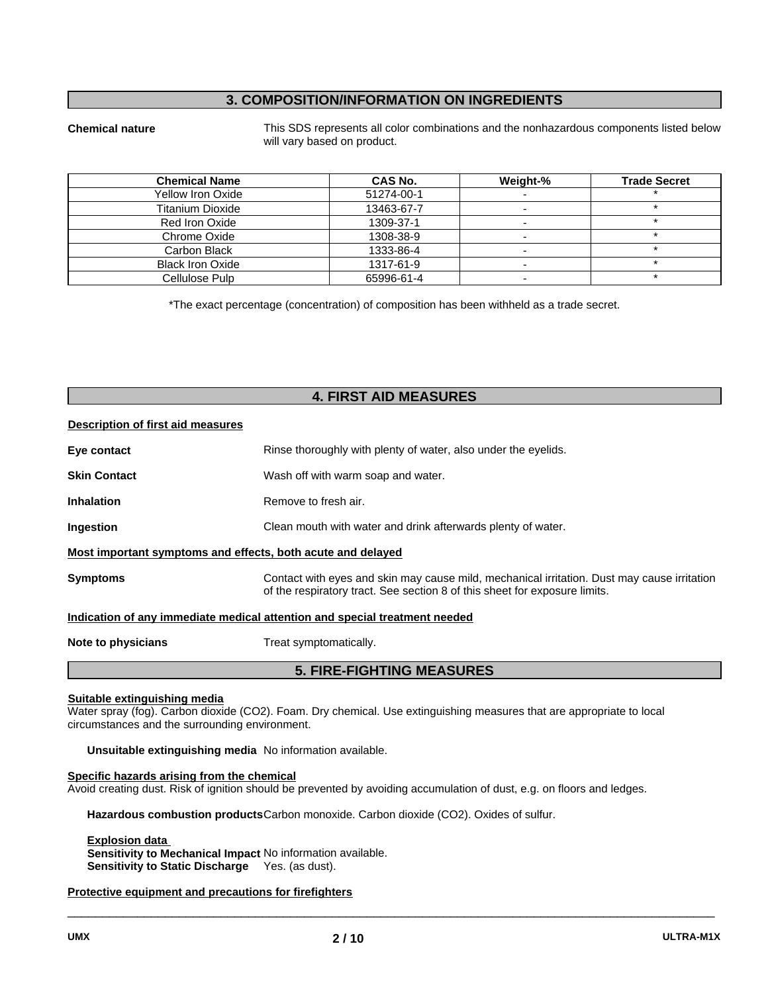## **3. COMPOSITION/INFORMATION ON INGREDIENTS**

**Chemical nature** This SDS represents all color combinations and the nonhazardous components listed below will vary based on product.

| <b>Chemical Name</b>    | <b>CAS No.</b> | Weight-% | <b>Trade Secret</b> |
|-------------------------|----------------|----------|---------------------|
| Yellow Iron Oxide       | 51274-00-1     |          |                     |
| Titanium Dioxide        | 13463-67-7     |          |                     |
| Red Iron Oxide          | 1309-37-1      |          |                     |
| Chrome Oxide            | 1308-38-9      |          |                     |
| Carbon Black            | 1333-86-4      |          |                     |
| <b>Black Iron Oxide</b> | 1317-61-9      |          |                     |
| Cellulose Pulp          | 65996-61-4     |          |                     |

\*The exact percentage (concentration) of composition has been withheld as a trade secret.

## **4. FIRST AID MEASURES**

#### **Description of first aid measures**

|                     | <b>5. FIRE-FIGHTING MEASURES</b>                                                                                                                                          |  |  |
|---------------------|---------------------------------------------------------------------------------------------------------------------------------------------------------------------------|--|--|
| Note to physicians  | Treat symptomatically.                                                                                                                                                    |  |  |
|                     | Indication of any immediate medical attention and special treatment needed                                                                                                |  |  |
| <b>Symptoms</b>     | Contact with eyes and skin may cause mild, mechanical irritation. Dust may cause irritation<br>of the respiratory tract. See section 8 of this sheet for exposure limits. |  |  |
|                     | Most important symptoms and effects, both acute and delayed                                                                                                               |  |  |
| Ingestion           | Clean mouth with water and drink afterwards plenty of water.                                                                                                              |  |  |
| <b>Inhalation</b>   | Remove to fresh air.                                                                                                                                                      |  |  |
| <b>Skin Contact</b> | Wash off with warm soap and water.                                                                                                                                        |  |  |
| Eye contact         | Rinse thoroughly with plenty of water, also under the eyelids.                                                                                                            |  |  |
|                     |                                                                                                                                                                           |  |  |

#### **Suitable extinguishing media**

Water spray (fog). Carbon dioxide (CO2). Foam. Dry chemical. Use extinguishing measures that are appropriate to local circumstances and the surrounding environment.

**Unsuitable extinguishing media** No information available.

#### **Specific hazards arising from the chemical**

Avoid creating dust. Risk of ignition should be prevented by avoiding accumulation of dust, e.g. on floors and ledges.

**Hazardous combustion products** Carbon monoxide. Carbon dioxide (CO2). Oxides of sulfur.

#### **Explosion data**

**Sensitivity to Mechanical Impact** No information available. **Sensitivity to Static Discharge** Yes. (as dust).

### **Protective equipment and precautions for firefighters**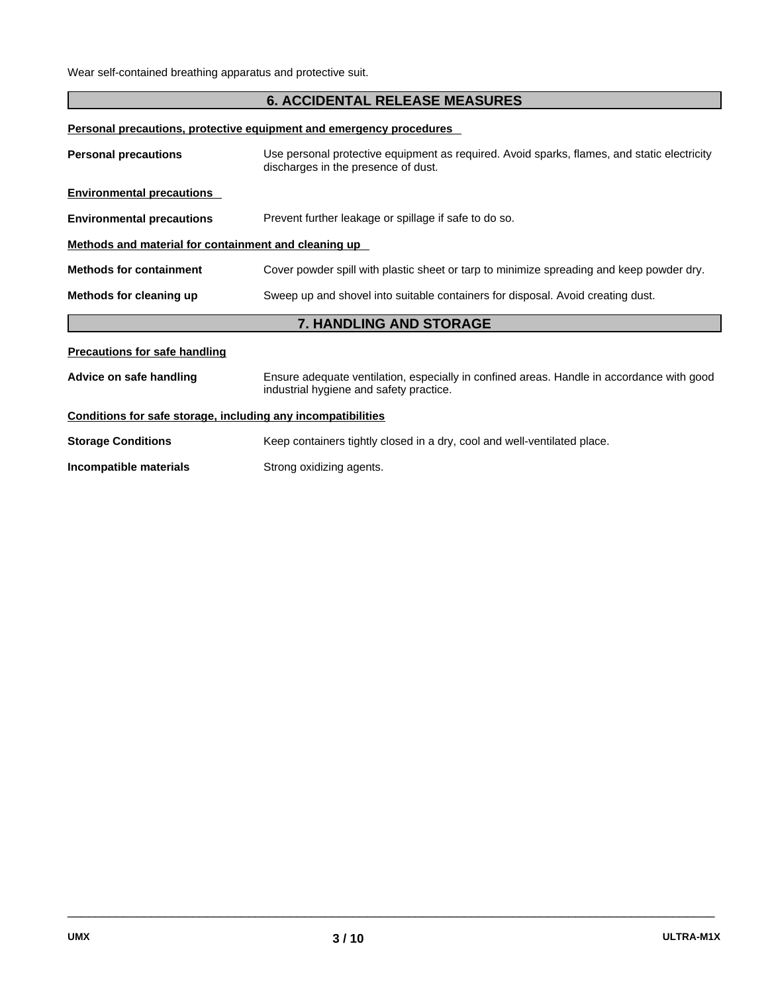## **6. ACCIDENTAL RELEASE MEASURES**

**Personal precautions, protective equipment and emergency procedures** 

| <b>Personal precautions</b>                                                                                                                                     | Use personal protective equipment as required. Avoid sparks, flames, and static electricity<br>discharges in the presence of dust. |  |  |  |  |
|-----------------------------------------------------------------------------------------------------------------------------------------------------------------|------------------------------------------------------------------------------------------------------------------------------------|--|--|--|--|
| <b>Environmental precautions</b>                                                                                                                                |                                                                                                                                    |  |  |  |  |
| <b>Environmental precautions</b>                                                                                                                                | Prevent further leakage or spillage if safe to do so.                                                                              |  |  |  |  |
| Methods and material for containment and cleaning up                                                                                                            |                                                                                                                                    |  |  |  |  |
| Cover powder spill with plastic sheet or tarp to minimize spreading and keep powder dry.<br><b>Methods for containment</b>                                      |                                                                                                                                    |  |  |  |  |
| Sweep up and shovel into suitable containers for disposal. Avoid creating dust.<br>Methods for cleaning up                                                      |                                                                                                                                    |  |  |  |  |
|                                                                                                                                                                 | <b>7. HANDLING AND STORAGE</b>                                                                                                     |  |  |  |  |
| <b>Precautions for safe handling</b>                                                                                                                            |                                                                                                                                    |  |  |  |  |
| Ensure adequate ventilation, especially in confined areas. Handle in accordance with good<br>Advice on safe handling<br>industrial hygiene and safety practice. |                                                                                                                                    |  |  |  |  |
|                                                                                                                                                                 |                                                                                                                                    |  |  |  |  |
| Conditions for safe storage, including any incompatibilities                                                                                                    |                                                                                                                                    |  |  |  |  |
| <b>Storage Conditions</b>                                                                                                                                       | Keep containers tightly closed in a dry, cool and well-ventilated place.                                                           |  |  |  |  |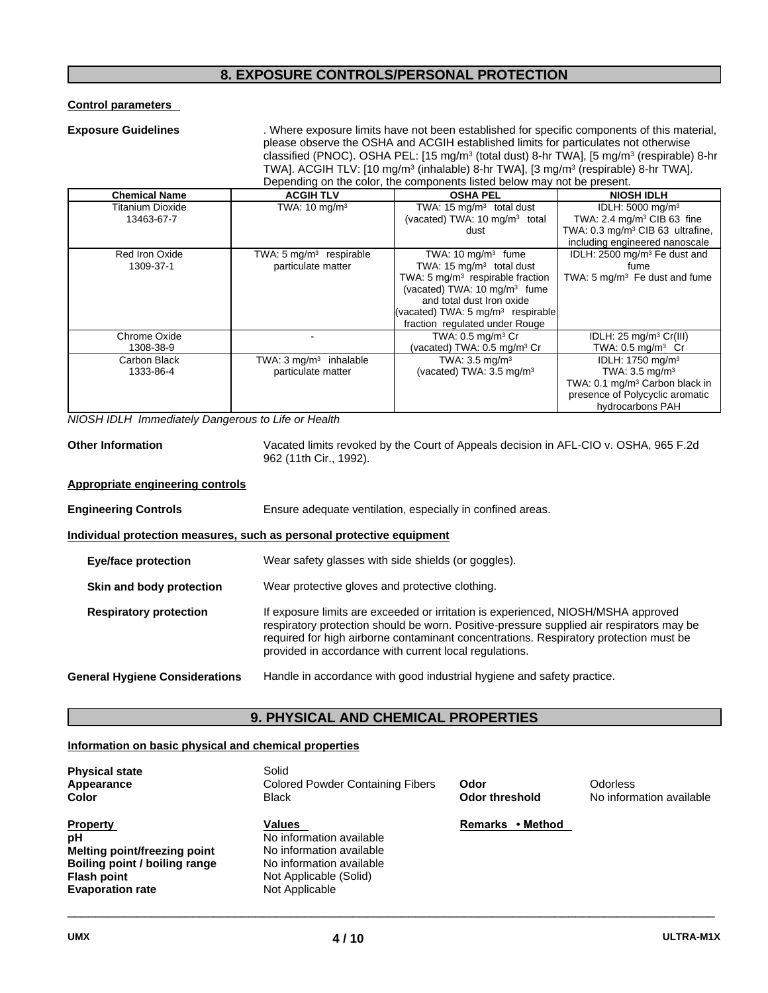## **8. EXPOSURE CONTROLS/PERSONAL PROTECTION**

## **Control parameters**

**Exposure Guidelines** . Where exposure limits have not been established for specific components of this material, please observe the OSHA and ACGIH established limits for particulates not otherwise classified (PNOC). OSHA PEL: [15 mg/m<sup>3</sup> (total dust) 8-hr TWA], [5 mg/m<sup>3</sup> (respirable) 8-hr TWA]. ACGIH TLV: [10 mg/m<sup>3</sup> (inhalable) 8-hr TWA], [3 mg/m<sup>3</sup> (respirable) 8-hr TWA]. Depending on the color, the components listed below may not be present.

| <b>Chemical Name</b>    | <b>ACGIH TLV</b>                   | <b>OSHA PEL</b>                               | <b>NIOSH IDLH</b>                            |
|-------------------------|------------------------------------|-----------------------------------------------|----------------------------------------------|
| <b>Titanium Dioxide</b> | TWA: $10 \text{ mg/m}^3$           | TWA: $15 \text{ mg/m}^3$ total dust           | IDLH: 5000 mg/m <sup>3</sup>                 |
| 13463-67-7              |                                    | (vacated) TWA: 10 mg/m <sup>3</sup> total     | TWA: 2.4 mg/m <sup>3</sup> CIB 63 fine       |
|                         |                                    | dust                                          | TWA: 0.3 mg/m <sup>3</sup> CIB 63 ultrafine, |
|                         |                                    |                                               | including engineered nanoscale               |
| Red Iron Oxide          | TWA: $5 \text{ mg/m}^3$ respirable | TWA: $10 \text{ mg/m}^3$ fume                 | IDLH: 2500 mg/m <sup>3</sup> Fe dust and     |
| 1309-37-1               | particulate matter                 | TWA: $15 \text{ mg/m}^3$ total dust           | fume                                         |
|                         |                                    | TWA: $5 \text{ mg/m}^3$ respirable fraction   | TWA: 5 mg/m <sup>3</sup> Fe dust and fume    |
|                         |                                    | (vacated) TWA: 10 mg/m <sup>3</sup> fume      |                                              |
|                         |                                    | and total dust Iron oxide                     |                                              |
|                         |                                    | (vacated) TWA: 5 mg/m <sup>3</sup> respirable |                                              |
|                         |                                    | fraction regulated under Rouge                |                                              |
| Chrome Oxide            |                                    | TWA: $0.5$ mg/m <sup>3</sup> Cr               | IDLH: $25 \text{ mg/m}^3 \text{ Cr(III)}$    |
| 1308-38-9               |                                    | (vacated) TWA: 0.5 mg/m <sup>3</sup> Cr       | TWA: $0.5 \text{ mg/m}^3$ Cr                 |
| Carbon Black            | TWA: $3 \text{ mg/m}^3$ inhalable  | TWA: $3.5 \text{ mg/m}^3$                     | IDLH: 1750 mg/m <sup>3</sup>                 |
| 1333-86-4               | particulate matter                 | (vacated) TWA: 3.5 mg/m <sup>3</sup>          | TWA: $3.5 \text{ mg/m}^3$                    |
|                         |                                    |                                               | TWA: 0.1 mg/m <sup>3</sup> Carbon black in   |
|                         |                                    |                                               | presence of Polycyclic aromatic              |
|                         |                                    |                                               | hydrocarbons PAH                             |

*NIOSH IDLH Immediately Dangerous to Life or Health* 

**Other Information** Vacated limits revoked by the Court of Appeals decision in AFL-CIO v. OSHA, 965 F.2d 962 (11th Cir., 1992).

### **Appropriate engineering controls**

| <b>Engineering Controls</b> | Ensure adequate ventilation, especially in confined areas. |
|-----------------------------|------------------------------------------------------------|
|                             |                                                            |

#### **Individual protection measures, such as personal protective equipment**

**Eye/face protection** Wear safety glasses with side shields (or goggles).

**Skin and body protection** Wear protective gloves and protective clothing.

**Respiratory protection** If exposure limits are exceeded or irritation is experienced, NIOSH/MSHA approved respiratory protection should be worn. Positive-pressure supplied air respirators may be required for high airborne contaminant concentrations. Respiratory protection must be provided in accordance with current local regulations.

## **9. PHYSICAL AND CHEMICAL PROPERTIES**

#### **Information on basic physical and chemical properties**

| <b>Physical state</b><br>Appearance<br>Color                                                                                            | Solid<br><b>Colored Powder Containing Fibers</b><br><b>Black</b>                                                                              | Odor<br>Odor threshold | Odorless<br>No information available |
|-----------------------------------------------------------------------------------------------------------------------------------------|-----------------------------------------------------------------------------------------------------------------------------------------------|------------------------|--------------------------------------|
| <b>Property</b><br>pН<br>Melting point/freezing point<br>Boiling point / boiling range<br><b>Flash point</b><br><b>Evaporation rate</b> | <b>Values</b><br>No information available<br>No information available<br>No information available<br>Not Applicable (Solid)<br>Not Applicable | Remarks • Method       |                                      |

**General Hygiene Considerations** Handle in accordance with good industrial hygiene and safety practice.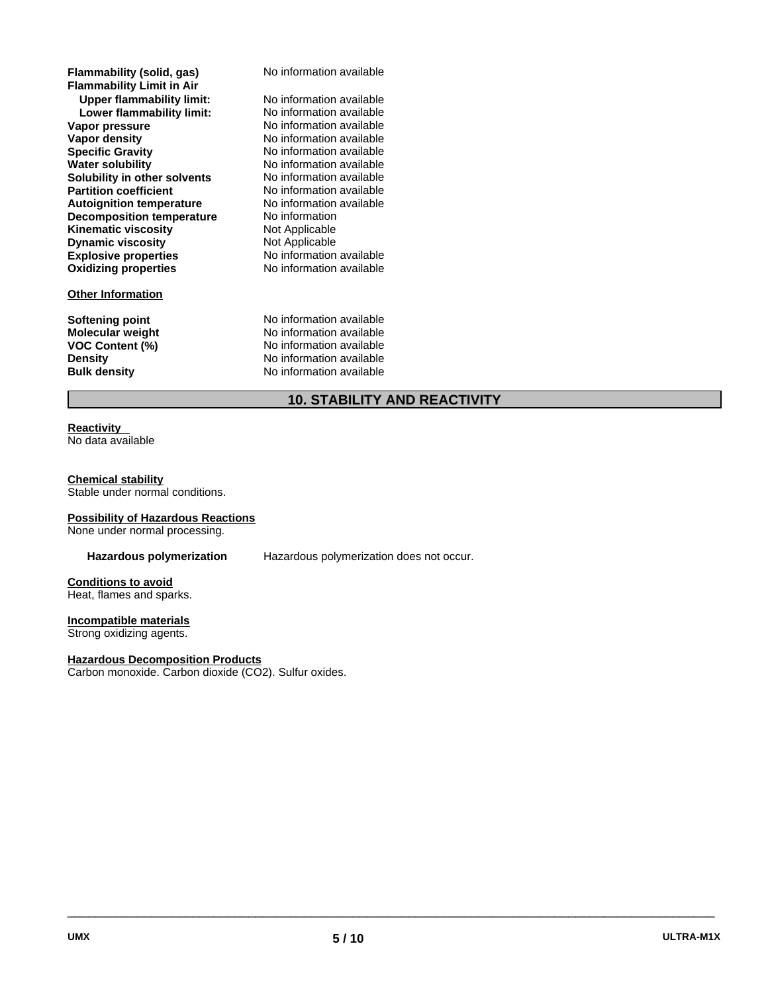| Flammability (solid, gas)<br><b>Flammability Limit in Air</b><br><b>Upper flammability limit:</b><br>Lower flammability limit:<br>Vapor pressure<br>Vapor density<br><b>Specific Gravity</b><br><b>Water solubility</b><br>Solubility in other solvents<br><b>Partition coefficient</b><br><b>Autoignition temperature</b><br><b>Decomposition temperature</b><br><b>Kinematic viscosity</b><br><b>Dynamic viscosity</b><br><b>Explosive properties</b><br><b>Oxidizing properties</b> | No information available<br>No information available<br>No information available<br>No information available<br>No information available<br>No information available<br>No information available<br>No information available<br>No information available<br>No information available<br>No information<br>Not Applicable<br>Not Applicable<br>No information available<br>No information available |
|----------------------------------------------------------------------------------------------------------------------------------------------------------------------------------------------------------------------------------------------------------------------------------------------------------------------------------------------------------------------------------------------------------------------------------------------------------------------------------------|----------------------------------------------------------------------------------------------------------------------------------------------------------------------------------------------------------------------------------------------------------------------------------------------------------------------------------------------------------------------------------------------------|
| <b>Other Information</b>                                                                                                                                                                                                                                                                                                                                                                                                                                                               |                                                                                                                                                                                                                                                                                                                                                                                                    |
| <b>Softening point</b><br>Molecular weight<br>VOC Content (%)<br>Density<br><b>Bulk density</b>                                                                                                                                                                                                                                                                                                                                                                                        | No information available<br>No information available<br>No information available<br>No information available<br>No information available                                                                                                                                                                                                                                                           |

## **10. STABILITY AND REACTIVITY**

## **Reactivity**

No data available

### **Chemical stability**

Stable under normal conditions.

### **Possibility of Hazardous Reactions**

None under normal processing.

**Hazardous polymerization** Hazardous polymerization does not occur.

## **Conditions to avoid**

Heat, flames and sparks.

## **Incompatible materials**

Strong oxidizing agents.

## **Hazardous Decomposition Products**

Carbon monoxide. Carbon dioxide (CO2). Sulfur oxides.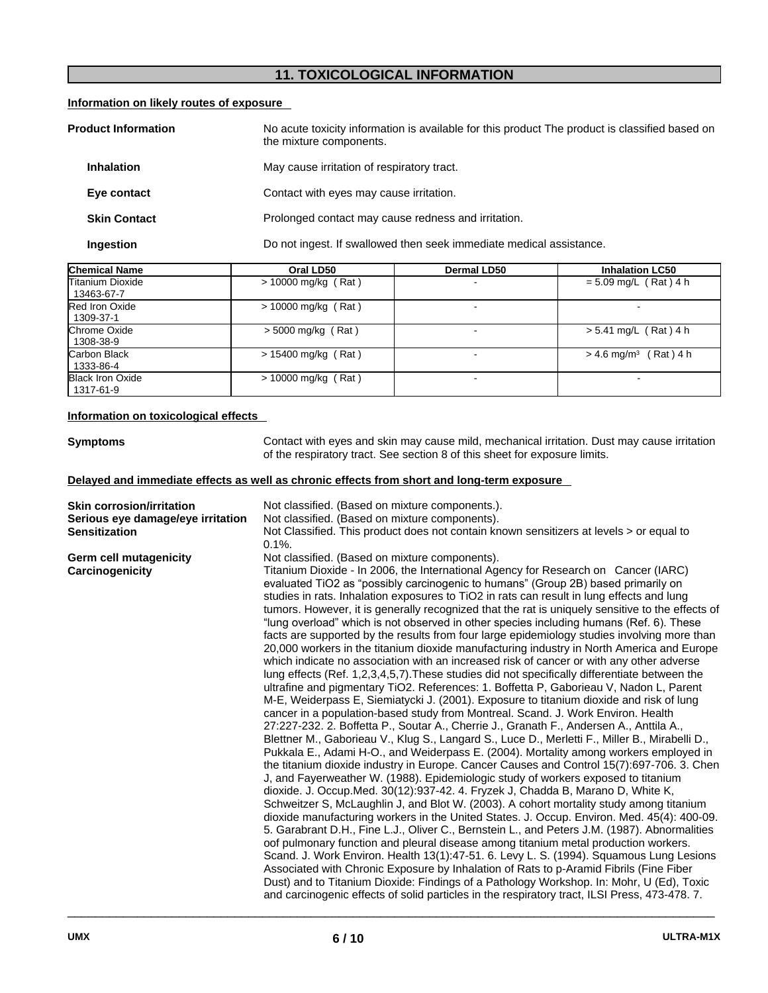## **11. TOXICOLOGICAL INFORMATION**

## **Information on likely routes of exposure**

| <b>Product Information</b>                                                       |                   | No acute toxicity information is available for this product The product is classified based on<br>the mixture components. |  |
|----------------------------------------------------------------------------------|-------------------|---------------------------------------------------------------------------------------------------------------------------|--|
|                                                                                  | <b>Inhalation</b> | May cause irritation of respiratory tract.                                                                                |  |
| Contact with eyes may cause irritation.<br>Eye contact                           |                   |                                                                                                                           |  |
| Prolonged contact may cause redness and irritation.<br><b>Skin Contact</b>       |                   |                                                                                                                           |  |
| Do not ingest. If swallowed then seek immediate medical assistance.<br>Ingestion |                   |                                                                                                                           |  |

| <b>Chemical Name</b>                 | Oral LD50             | Dermal LD50 | <b>Inhalation LC50</b>              |
|--------------------------------------|-----------------------|-------------|-------------------------------------|
| lTitanium Dioxide<br>13463-67-7      | $> 10000$ mg/kg (Rat) |             | $= 5.09$ mg/L (Rat) 4 h             |
| Red Iron Oxide<br>1309-37-1          | $> 10000$ mg/kg (Rat) |             |                                     |
| <b>Chrome Oxide</b><br>1308-38-9     | $>$ 5000 mg/kg (Rat)  | ۰.          | $> 5.41$ mg/L (Rat) 4 h             |
| Carbon Black<br>1333-86-4            | $> 15400$ mg/kg (Rat) |             | $> 4.6$ mg/m <sup>3</sup> (Rat) 4 h |
| <b>Black Iron Oxide</b><br>1317-61-9 | $> 10000$ mg/kg (Rat) |             |                                     |

## **Information on toxicological effects**

| <b>Symptoms</b>                                                                                                                                                                                                                                                                                            | Contact with eyes and skin may cause mild, mechanical irritation. Dust may cause irritation<br>of the respiratory tract. See section 8 of this sheet for exposure limits.                                                                                                                                                                                                                                                                                                                                                                                                                                                                                                                                                                                                                                                                                                                                                                                                                                                                                                                                                                                                                                                                                                                                                                                                                                                                                                                                                                                                                                                                                                                                                                                                                                                                                                                                                                                                                                                                                                                                                                                                                                                                                                                                                                                                                                                                                                                                           |  |  |  |
|------------------------------------------------------------------------------------------------------------------------------------------------------------------------------------------------------------------------------------------------------------------------------------------------------------|---------------------------------------------------------------------------------------------------------------------------------------------------------------------------------------------------------------------------------------------------------------------------------------------------------------------------------------------------------------------------------------------------------------------------------------------------------------------------------------------------------------------------------------------------------------------------------------------------------------------------------------------------------------------------------------------------------------------------------------------------------------------------------------------------------------------------------------------------------------------------------------------------------------------------------------------------------------------------------------------------------------------------------------------------------------------------------------------------------------------------------------------------------------------------------------------------------------------------------------------------------------------------------------------------------------------------------------------------------------------------------------------------------------------------------------------------------------------------------------------------------------------------------------------------------------------------------------------------------------------------------------------------------------------------------------------------------------------------------------------------------------------------------------------------------------------------------------------------------------------------------------------------------------------------------------------------------------------------------------------------------------------------------------------------------------------------------------------------------------------------------------------------------------------------------------------------------------------------------------------------------------------------------------------------------------------------------------------------------------------------------------------------------------------------------------------------------------------------------------------------------------------|--|--|--|
|                                                                                                                                                                                                                                                                                                            | Delayed and immediate effects as well as chronic effects from short and long-term exposure                                                                                                                                                                                                                                                                                                                                                                                                                                                                                                                                                                                                                                                                                                                                                                                                                                                                                                                                                                                                                                                                                                                                                                                                                                                                                                                                                                                                                                                                                                                                                                                                                                                                                                                                                                                                                                                                                                                                                                                                                                                                                                                                                                                                                                                                                                                                                                                                                          |  |  |  |
| <b>Skin corrosion/irritation</b><br>Not classified. (Based on mixture components.).<br>Not classified. (Based on mixture components).<br>Serious eye damage/eye irritation<br>Not Classified. This product does not contain known sensitizers at levels > or equal to<br><b>Sensitization</b><br>$0.1\%$ . |                                                                                                                                                                                                                                                                                                                                                                                                                                                                                                                                                                                                                                                                                                                                                                                                                                                                                                                                                                                                                                                                                                                                                                                                                                                                                                                                                                                                                                                                                                                                                                                                                                                                                                                                                                                                                                                                                                                                                                                                                                                                                                                                                                                                                                                                                                                                                                                                                                                                                                                     |  |  |  |
| <b>Germ cell mutagenicity</b><br>Carcinogenicity                                                                                                                                                                                                                                                           | Not classified. (Based on mixture components).<br>Titanium Dioxide - In 2006, the International Agency for Research on Cancer (IARC)<br>evaluated TiO2 as "possibly carcinogenic to humans" (Group 2B) based primarily on<br>studies in rats. Inhalation exposures to TiO2 in rats can result in lung effects and lung<br>tumors. However, it is generally recognized that the rat is uniquely sensitive to the effects of<br>"lung overload" which is not observed in other species including humans (Ref. 6). These<br>facts are supported by the results from four large epidemiology studies involving more than<br>20,000 workers in the titanium dioxide manufacturing industry in North America and Europe<br>which indicate no association with an increased risk of cancer or with any other adverse<br>lung effects (Ref. 1,2,3,4,5,7). These studies did not specifically differentiate between the<br>ultrafine and pigmentary TiO2. References: 1. Boffetta P, Gaborieau V, Nadon L, Parent<br>M-E, Weiderpass E, Siemiatycki J. (2001). Exposure to titanium dioxide and risk of lung<br>cancer in a population-based study from Montreal. Scand. J. Work Environ. Health<br>27:227-232. 2. Boffetta P., Soutar A., Cherrie J., Granath F., Andersen A., Anttila A.,<br>Blettner M., Gaborieau V., Klug S., Langard S., Luce D., Merletti F., Miller B., Mirabelli D.,<br>Pukkala E., Adami H-O., and Weiderpass E. (2004). Mortality among workers employed in<br>the titanium dioxide industry in Europe. Cancer Causes and Control 15(7):697-706. 3. Chen<br>J, and Fayerweather W. (1988). Epidemiologic study of workers exposed to titanium<br>dioxide. J. Occup.Med. 30(12):937-42. 4. Fryzek J, Chadda B, Marano D, White K,<br>Schweitzer S, McLaughlin J, and Blot W. (2003). A cohort mortality study among titanium<br>dioxide manufacturing workers in the United States. J. Occup. Environ. Med. 45(4): 400-09.<br>5. Garabrant D.H., Fine L.J., Oliver C., Bernstein L., and Peters J.M. (1987). Abnormalities<br>oof pulmonary function and pleural disease among titanium metal production workers.<br>Scand. J. Work Environ. Health 13(1):47-51. 6. Levy L. S. (1994). Squamous Lung Lesions<br>Associated with Chronic Exposure by Inhalation of Rats to p-Aramid Fibrils (Fine Fiber<br>Dust) and to Titanium Dioxide: Findings of a Pathology Workshop. In: Mohr, U (Ed), Toxic<br>and carcinogenic effects of solid particles in the respiratory tract, ILSI Press, 473-478.7. |  |  |  |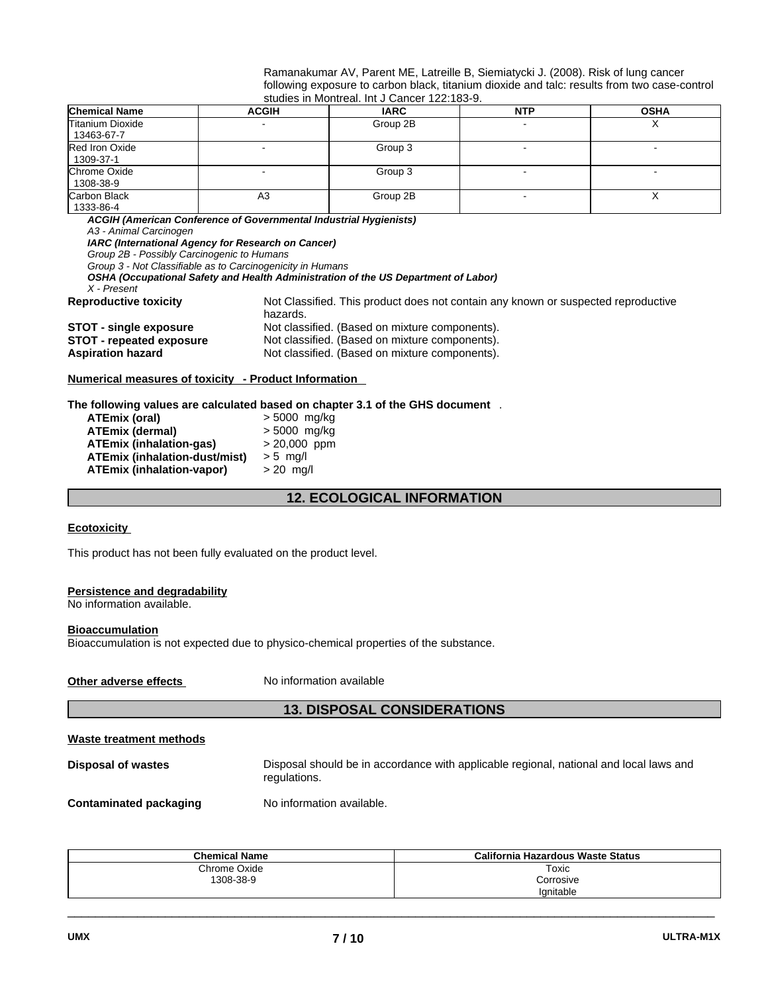| Ramanakumar AV, Parent ME, Latreille B, Siemiatycki J. (2008). Risk of lung cancer           |
|----------------------------------------------------------------------------------------------|
| following exposure to carbon black, titanium dioxide and talc: results from two case-control |
| studies in Montreal. Int J Cancer 122:183-9.                                                 |

| 0.000.000 111 11101 1111 0011 1111 000 111001 122.100 01 |                |             |            |             |
|----------------------------------------------------------|----------------|-------------|------------|-------------|
| <b>Chemical Name</b>                                     | <b>ACGIH</b>   | <b>IARC</b> | <b>NTP</b> | <b>OSHA</b> |
| <b>Titanium Dioxide</b><br>13463-67-7                    |                | Group 2B    |            |             |
| Red Iron Oxide<br>1309-37-1                              |                | Group 3     |            |             |
| <b>Chrome Oxide</b><br>1308-38-9                         |                | Group 3     |            |             |
| <b>Carbon Black</b><br>1333-86-4                         | A <sub>3</sub> | Group 2B    |            |             |

*ACGIH (American Conference of Governmental Industrial Hygienists)*

*A3 - Animal Carcinogen* 

*IARC (International Agency for Research on Cancer)*

*Group 2B - Possibly Carcinogenic to Humans*

*Group 3 - Not Classifiable as to Carcinogenicity in Humans* 

*OSHA (Occupational Safety and Health Administration of the US Department of Labor)*

*X - Present* 

**Reproductive toxicity** Not Classified. This product does not contain any known or suspected reproductive hazards. **STOT - single exposure** Not classified. (Based on mixture components).

**STOT - repeated exposure Not classified. (Based on mixture components).**<br> **Aspiration hazard Not classified. (Based on mixture components).** 

### **Numerical measures of toxicity - Product Information**

**The following values are calculated based on chapter 3.1 of the GHS document** .

| <b>ATEmix (oral)</b>                 | $> 5000$ mg/kg |
|--------------------------------------|----------------|
| <b>ATEmix (dermal)</b>               | > 5000 mg/kg   |
| <b>ATEmix (inhalation-gas)</b>       | $> 20,000$ ppm |
| <b>ATEmix (inhalation-dust/mist)</b> | $> 5$ mg/l     |
| <b>ATEmix (inhalation-vapor)</b>     | $> 20$ mg/l    |
|                                      |                |

**12. ECOLOGICAL INFORMATION** 

Not classified. (Based on mixture components).

## **Ecotoxicity**

This product has not been fully evaluated on the product level.

#### **Persistence and degradability**

No information available.

### **Bioaccumulation**

Bioaccumulation is not expected due to physico-chemical properties of the substance.

**Other adverse effects** No information available

## **13. DISPOSAL CONSIDERATIONS**

#### **Waste treatment methods**

**Disposal of wastes** Disposal should be in accordance with applicable regional, national and local laws and regulations.

**Contaminated packaging <br>No information available.** 

| <b>Chemical Name</b> | California Hazardous Waste Status |
|----------------------|-----------------------------------|
| Chrome Oxide         | Toxic                             |
| 1308-38-9            | Corrosive                         |
|                      | lanitable                         |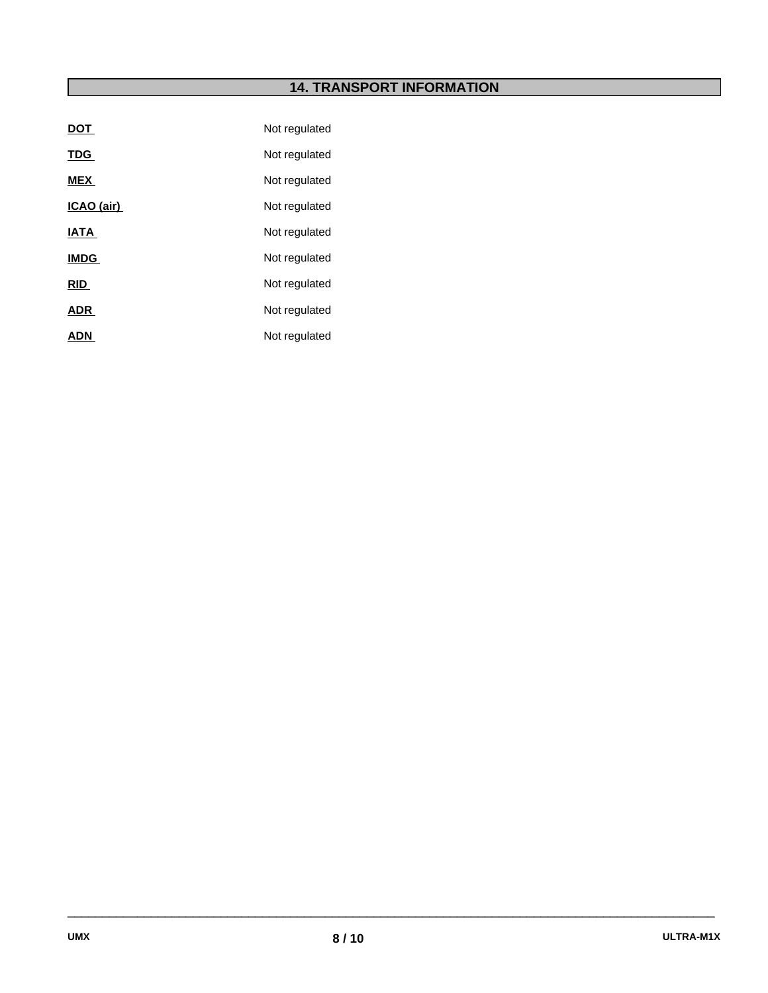## **14. TRANSPORT INFORMATION**

| <b>DOT</b>  | Not regulated |
|-------------|---------------|
| <b>TDG</b>  | Not regulated |
| <b>MEX</b>  | Not regulated |
| ICAO (air)  | Not regulated |
| <b>IATA</b> | Not regulated |
| <b>IMDG</b> | Not regulated |
| <b>RID</b>  | Not regulated |
| <b>ADR</b>  | Not regulated |
| <b>ADN</b>  | Not regulated |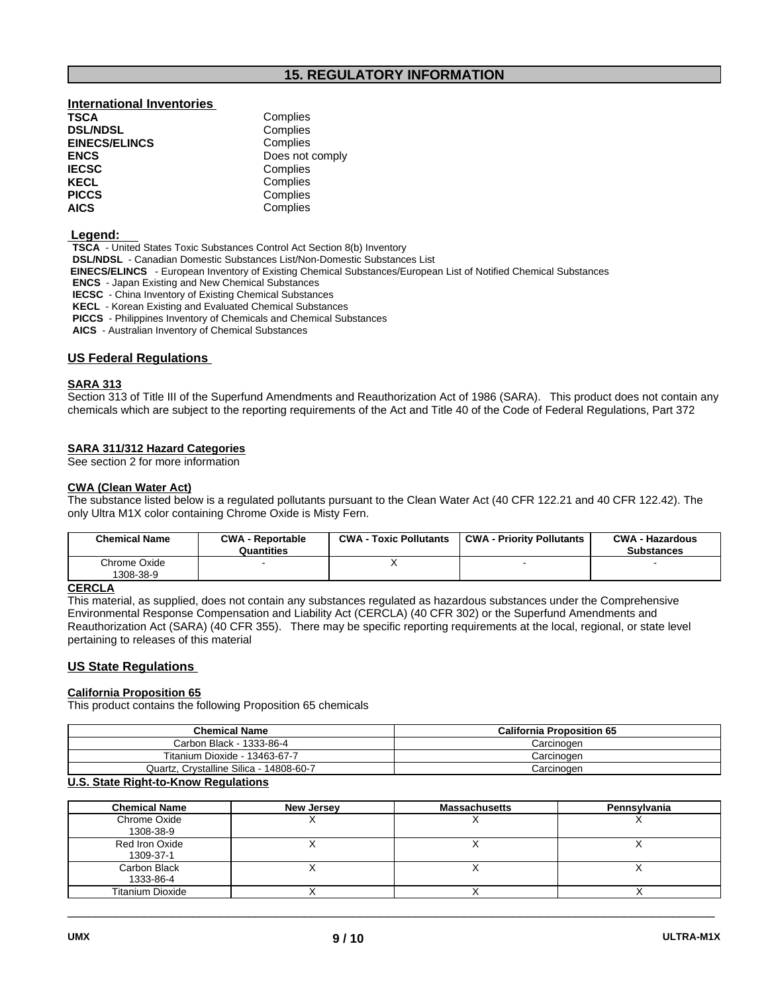## **15. REGULATORY INFORMATION**

## **International Inventories**

| Complies        |
|-----------------|
| Complies        |
| Complies        |
| Does not comply |
| Complies        |
| Complies        |
| Complies        |
| Complies        |
|                 |

#### **Legend:**

 **TSCA** - United States Toxic Substances Control Act Section 8(b) Inventory

 **DSL/NDSL** - Canadian Domestic Substances List/Non-Domestic Substances List

 **EINECS/ELINCS** - European Inventory of Existing Chemical Substances/European List of Notified Chemical Substances

 **ENCS** - Japan Existing and New Chemical Substances

 **IECSC** - China Inventory of Existing Chemical Substances

 **KECL** - Korean Existing and Evaluated Chemical Substances

 **PICCS** - Philippines Inventory of Chemicals and Chemical Substances

 **AICS** - Australian Inventory of Chemical Substances

## **US Federal Regulations**

## **SARA 313**

Section 313 of Title III of the Superfund Amendments and Reauthorization Act of 1986 (SARA). This product does not contain any chemicals which are subject to the reporting requirements of the Act and Title 40 of the Code of Federal Regulations, Part 372

## **SARA 311/312 Hazard Categories**

See section 2 for more information

### **CWA (Clean Water Act)**

The substance listed below is a regulated pollutants pursuant to the Clean Water Act (40 CFR 122.21 and 40 CFR 122.42). The only Ultra M1X color containing Chrome Oxide is Misty Fern.

| <b>Chemical Name</b>      | <b>CWA - Reportable</b><br>Quantities | <b>CWA - Toxic Pollutants</b> | CWA - Priority Pollutants | <b>CWA - Hazardous</b><br><b>Substances</b> |
|---------------------------|---------------------------------------|-------------------------------|---------------------------|---------------------------------------------|
| Chrome Oxide<br>1308-38-9 |                                       |                               |                           |                                             |
| $C$ $D$ $C$ $I$ $A$       |                                       |                               |                           |                                             |

## **CERCLA**

This material, as supplied, does not contain any substances regulated as hazardous substances under the Comprehensive Environmental Response Compensation and Liability Act (CERCLA) (40 CFR 302) or the Superfund Amendments and Reauthorization Act (SARA) (40 CFR 355). There may be specific reporting requirements at the local, regional, or state level pertaining to releases of this material

## **US State Regulations**

#### **California Proposition 65**

This product contains the following Proposition 65 chemicals

| <b>Chemical Name</b>                    | <b>California Proposition 65</b> |
|-----------------------------------------|----------------------------------|
| Carbon Black - 1333-86-4                | Carcinoɑen                       |
| Titanium Dioxide - 13463-67-7           | Carcinoɑen                       |
| Quartz, Crystalline Silica - 14808-60-7 | Carcinogen                       |

## **U.S. State Right-to-Know Regulations**

| <b>Chemical Name</b>    | <b>New Jersey</b> | <b>Massachusetts</b> | Pennsylvania |
|-------------------------|-------------------|----------------------|--------------|
| Chrome Oxide            |                   |                      |              |
| 1308-38-9               |                   |                      |              |
| Red Iron Oxide          |                   |                      |              |
| 1309-37-1               |                   |                      |              |
| Carbon Black            |                   |                      |              |
| 1333-86-4               |                   |                      |              |
| <b>Titanium Dioxide</b> |                   |                      |              |